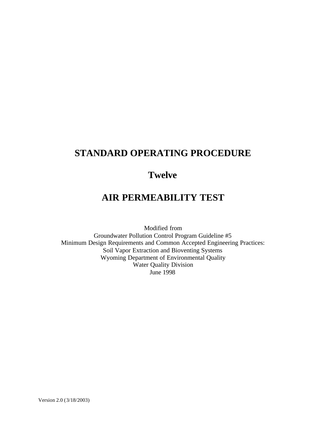## **STANDARD OPERATING PROCEDURE**

## **Twelve**

# **AIR PERMEABILITY TEST**

Modified from Groundwater Pollution Control Program Guideline #5 Minimum Design Requirements and Common Accepted Engineering Practices: Soil Vapor Extraction and Bioventing Systems Wyoming Department of Environmental Quality Water Quality Division June 1998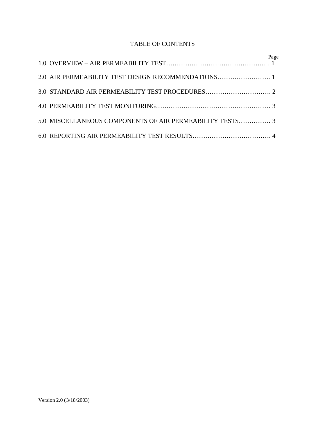### TABLE OF CONTENTS

| 5.0 MISCELLANEOUS COMPONENTS OF AIR PERMEABILITY TESTS 3 |  |
|----------------------------------------------------------|--|
|                                                          |  |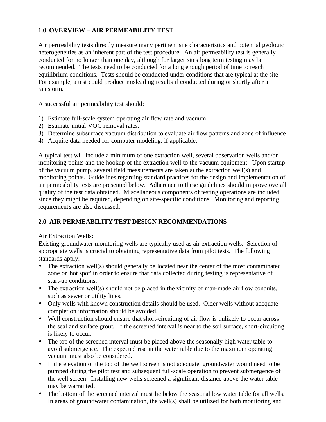## **1.0 OVERVIEW – AIR PERMEABILITY TEST**

Air permeability tests directly measure many pertinent site characteristics and potential geologic heterogeneities as an inherent part of the test procedure. An air permeability test is generally conducted for no longer than one day, although for larger sites long term testing may be recommended. The tests need to be conducted for a long enough period of time to reach equilibrium conditions. Tests should be conducted under conditions that are typical at the site. For example, a test could produce misleading results if conducted during or shortly after a rainstorm.

A successful air permeability test should:

- 1) Estimate full-scale system operating air flow rate and vacuum
- 2) Estimate initial VOC removal rates.
- 3) Determine subsurface vacuum distribution to evaluate air flow patterns and zone of influence
- 4) Acquire data needed for computer modeling, if applicable.

A typical test will include a minimum of one extraction well, several observation wells and/or monitoring points and the hookup of the extraction well to the vacuum equipment. Upon startup of the vacuum pump, several field measurements are taken at the extraction well(s) and monitoring points. Guidelines regarding standard practices for the design and implementation of air permeability tests are presented below. Adherence to these guidelines should improve overall quality of the test data obtained. Miscellaneous components of testing operations are included since they might be required, depending on site-specific conditions. Monitoring and reporting requirements are also discussed.

## **2.0 AIR PERMEABILITY TEST DESIGN RECOMMENDATIONS**

#### Air Extraction Wells:

Existing groundwater monitoring wells are typically used as air extraction wells. Selection of appropriate wells is crucial to obtaining representative data from pilot tests. The following standards apply:

- The extraction well(s) should generally be located near the center of the most contaminated zone or 'hot spot' in order to ensure that data collected during testing is representative of start-up conditions.
- The extraction well(s) should not be placed in the vicinity of man-made air flow conduits, such as sewer or utility lines.
- Only wells with known construction details should be used. Older wells without adequate completion information should be avoided.
- Well construction should ensure that short-circuiting of air flow is unlikely to occur across the seal and surface grout. If the screened interval is near to the soil surface, short-circuiting is likely to occur.
- The top of the screened interval must be placed above the seasonally high water table to avoid submergence. The expected rise in the water table due to the maximum operating vacuum must also be considered.
- If the elevation of the top of the well screen is not adequate, groundwater would need to be pumped during the pilot test and subsequent full-scale operation to prevent submergence of the well screen. Installing new wells screened a significant distance above the water table may be warranted.
- The bottom of the screened interval must lie below the seasonal low water table for all wells. In areas of groundwater contamination, the well(s) shall be utilized for both monitoring and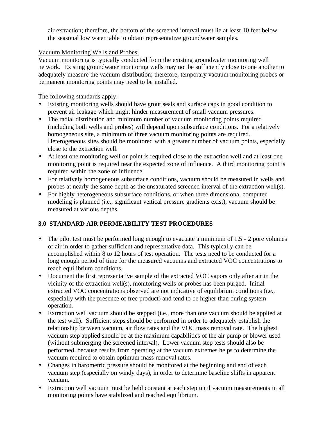air extraction; therefore, the bottom of the screened interval must lie at least 10 feet below the seasonal low water table to obtain representative groundwater samples.

#### Vacuum Monitoring Wells and Probes:

Vacuum monitoring is typically conducted from the existing groundwater monitoring well network. Existing groundwater monitoring wells may not be sufficiently close to one another to adequately measure the vacuum distribution; therefore, temporary vacuum monitoring probes or permanent monitoring points may need to be installed.

The following standards apply:

- Existing monitoring wells should have grout seals and surface caps in good condition to prevent air leakage which might hinder measurement of small vacuum pressures.
- The radial distribution and minimum number of vacuum monitoring points required (including both wells and probes) will depend upon subsurface conditions. For a relatively homogeneous site, a minimum of three vacuum monitoring points are required. Heterogeneous sites should be monitored with a greater number of vacuum points, especially close to the extraction well.
- At least one monitoring well or point is required close to the extraction well and at least one monitoring point is required near the expected zone of influence. A third monitoring point is required within the zone of influence.
- For relatively homogeneous subsurface conditions, vacuum should be measured in wells and probes at nearly the same depth as the unsaturated screened interval of the extraction well(s).
- For highly heterogeneous subsurface conditions, or when three dimensional computer modeling is planned (i.e., significant vertical pressure gradients exist), vacuum should be measured at various depths.

## **3.0 STANDARD AIR PERMEABILITY TEST PROCEDURES**

- The pilot test must be performed long enough to evacuate a minimum of  $1.5 2$  pore volumes of air in order to gather sufficient and representative data. This typically can be accomplished within 8 to 12 hours of test operation. The tests need to be conducted for a long enough period of time for the measured vacuums and extracted VOC concentrations to reach equilibrium conditions.
- Document the first representative sample of the extracted VOC vapors only after air in the vicinity of the extraction well(s), monitoring wells or probes has been purged. Initial extracted VOC concentrations observed are not indicative of equilibrium conditions (i.e., especially with the presence of free product) and tend to be higher than during system operation.
- Extraction well vacuum should be stepped (i.e., more than one vacuum should be applied at the test well). Sufficient steps should be performed in order to adequately establish the relationship between vacuum, air flow rates and the VOC mass removal rate. The highest vacuum step applied should be at the maximum capabilities of the air pump or blower used (without submerging the screened interval). Lower vacuum step tests should also be performed, because results from operating at the vacuum extremes helps to determine the vacuum required to obtain optimum mass removal rates.
- Changes in barometric pressure should be monitored at the beginning and end of each vacuum step (especially on windy days), in order to determine baseline shifts in apparent vacuum.
- Extraction well vacuum must be held constant at each step until vacuum measurements in all monitoring points have stabilized and reached equilibrium.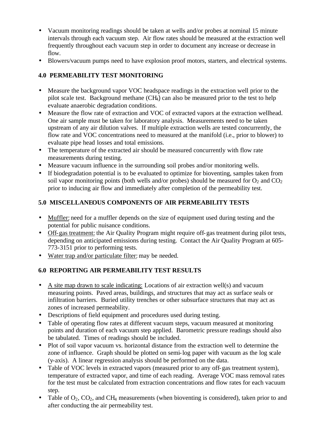- Vacuum monitoring readings should be taken at wells and/or probes at nominal 15 minute intervals through each vacuum step. Air flow rates should be measured at the extraction well frequently throughout each vacuum step in order to document any increase or decrease in flow.
- Blowers/vacuum pumps need to have explosion proof motors, starters, and electrical systems.

## **4.0 PERMEABILITY TEST MONITORING**

- Measure the background vapor VOC headspace readings in the extraction well prior to the pilot scale test. Background methane (CH4) can also be measured prior to the test to help evaluate anaerobic degradation conditions.
- Measure the flow rate of extraction and VOC of extracted vapors at the extraction wellhead. One air sample must be taken for laboratory analysis. Measurements need to be taken upstream of any air dilution valves. If multiple extraction wells are tested concurrently, the flow rate and VOC concentrations need to measured at the manifold (i.e., prior to blower) to evaluate pipe head losses and total emissions.
- The temperature of the extracted air should be measured concurrently with flow rate measurements during testing.
- Measure vacuum influence in the surrounding soil probes and/or monitoring wells.
- If biodegradation potential is to be evaluated to optimize for bioventing, samples taken from soil vapor monitoring points (both wells and/or probes) should be measured for  $O_2$  and  $CO_2$ prior to inducing air flow and immediately after completion of the permeability test.

## **5.0 MISCELLANEOUS COMPONENTS OF AIR PERMEABILITY TESTS**

- Muffler: need for a muffler depends on the size of equipment used during testing and the potential for public nuisance conditions.
- Off-gas treatment: the Air Quality Program might require off-gas treatment during pilot tests, depending on anticipated emissions during testing. Contact the Air Quality Program at 605- 773-3151 prior to performing tests.
- Water trap and/or particulate filter: may be needed.

## **6.0 REPORTING AIR PERMEABILITY TEST RESULTS**

- A site map drawn to scale indicating: Locations of air extraction well(s) and vacuum measuring points. Paved areas, buildings, and structures that may act as surface seals or infiltration barriers. Buried utility trenches or other subsurface structures that may act as zones of increased permeability.
- Descriptions of field equipment and procedures used during testing.
- Table of operating flow rates at different vacuum steps, vacuum measured at monitoring points and duration of each vacuum step applied. Barometric pressure readings should also be tabulated. Times of readings should be included.
- Plot of soil vapor vacuum vs. horizontal distance from the extraction well to determine the zone of influence. Graph should be plotted on semi-log paper with vacuum as the log scale (y-axis). A linear regression analysis should be performed on the data.
- Table of VOC levels in extracted vapors (measured prior to any off-gas treatment system), temperature of extracted vapor, and time of each reading. Average VOC mass removal rates for the test must be calculated from extraction concentrations and flow rates for each vacuum step.
- Table of  $O_2$ ,  $CO_2$ , and CH<sub>4</sub> measurements (when bioventing is considered), taken prior to and after conducting the air permeability test.